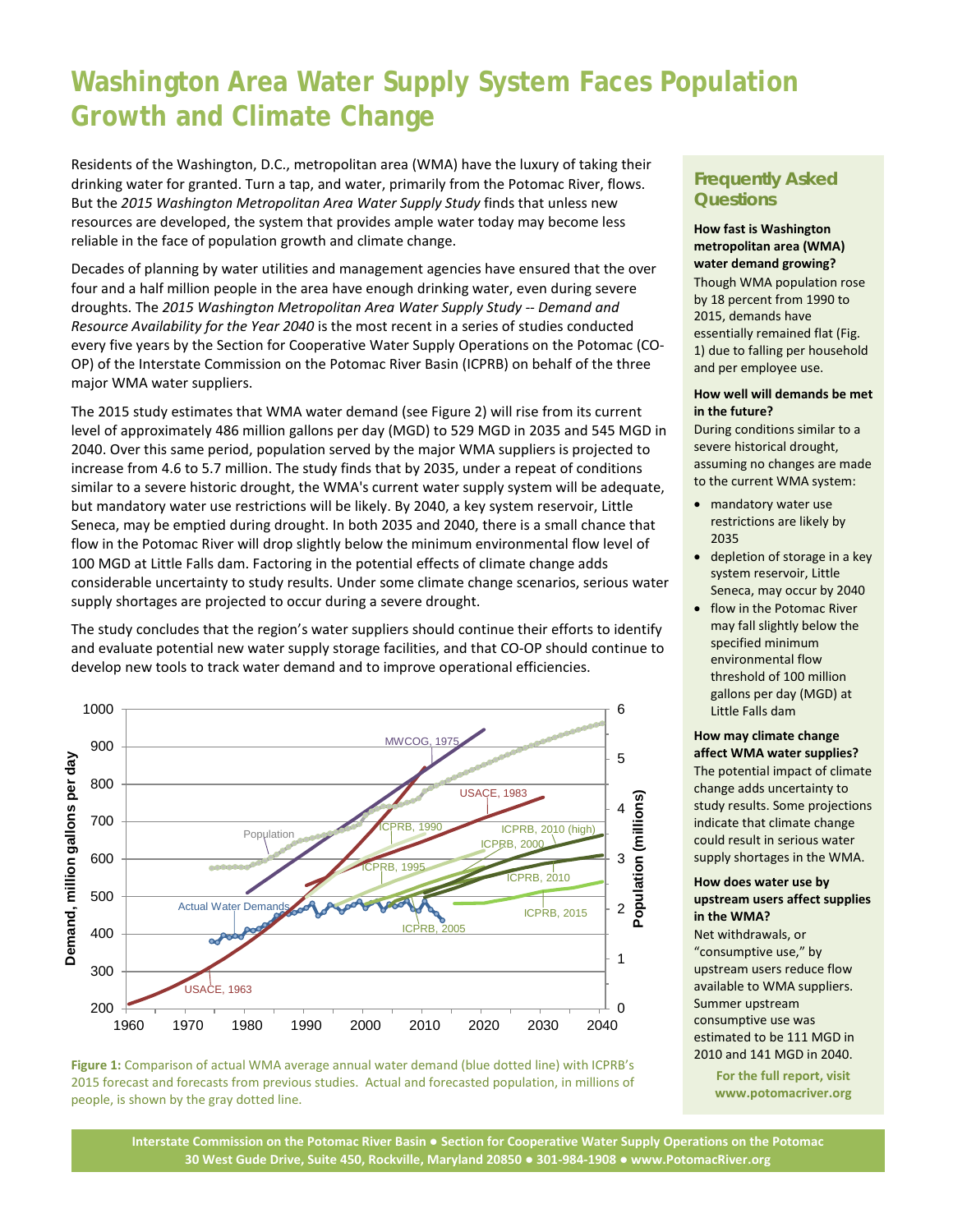# **Washington Area Water Supply System Faces Population Growth and Climate Change**

Residents of the Washington, D.C., metropolitan area (WMA) have the luxury of taking their drinking water for granted. Turn a tap, and water, primarily from the Potomac River, flows. But the *2015 Washington Metropolitan Area Water Supply Study* finds that unless new resources are developed, the system that provides ample water today may become less reliable in the face of population growth and climate change.

Decades of planning by water utilities and management agencies have ensured that the over four and a half million people in the area have enough drinking water, even during severe droughts. The *2015 Washington Metropolitan Area Water Supply Study -- Demand and Resource Availability for the Year 2040* is the most recent in a series of studies conducted every five years by the Section for Cooperative Water Supply Operations on the Potomac (CO-OP) of the Interstate Commission on the Potomac River Basin (ICPRB) on behalf of the three major WMA water suppliers.

The 2015 study estimates that WMA water demand (see Figure 2) will rise from its current level of approximately 486 million gallons per day (MGD) to 529 MGD in 2035 and 545 MGD in 2040. Over this same period, population served by the major WMA suppliers is projected to increase from 4.6 to 5.7 million. The study finds that by 2035, under a repeat of conditions similar to a severe historic drought, the WMA's current water supply system will be adequate, but mandatory water use restrictions will be likely. By 2040, a key system reservoir, Little Seneca, may be emptied during drought. In both 2035 and 2040, there is a small chance that flow in the Potomac River will drop slightly below the minimum environmental flow level of 100 MGD at Little Falls dam. Factoring in the potential effects of climate change adds considerable uncertainty to study results. Under some climate change scenarios, serious water supply shortages are projected to occur during a severe drought.

The study concludes that the region's water suppliers should continue their efforts to identify and evaluate potential new water supply storage facilities, and that CO-OP should continue to develop new tools to track water demand and to improve operational efficiencies.





### **Frequently Asked Questions**

### **How fast is Washington metropolitan area (WMA) water demand growing?**

Though WMA population rose by 18 percent from 1990 to 2015, demands have essentially remained flat (Fig. 1) due to falling per household and per employee use.

#### **How well will demands be met in the future?**

During conditions similar to a severe historical drought, assuming no changes are made to the current WMA system:

- mandatory water use restrictions are likely by 2035
- depletion of storage in a key system reservoir, Little Seneca, may occur by 2040
- flow in the Potomac River may fall slightly below the specified minimum environmental flow threshold of 100 million gallons per day (MGD) at Little Falls dam

#### **How may climate change affect WMA water supplies?**

The potential impact of climate change adds uncertainty to study results. Some projections indicate that climate change could result in serious water supply shortages in the WMA.

### **How does water use by upstream users affect supplies in the WMA?**

Net withdrawals, or "consumptive use," by upstream users reduce flow available to WMA suppliers. Summer upstream consumptive use was estimated to be 111 MGD in 2010 and 141 MGD in 2040.

> **For the full report, visit www.potomacriver.org**

**Interstate Commission on the Potomac River Basin ● Section for Cooperative Water Supply Operations on the Potomac 30 West Gude Drive, Suite 450, Rockville, Maryland 20850 ● 301-984-1908 ● www.PotomacRiver.org**